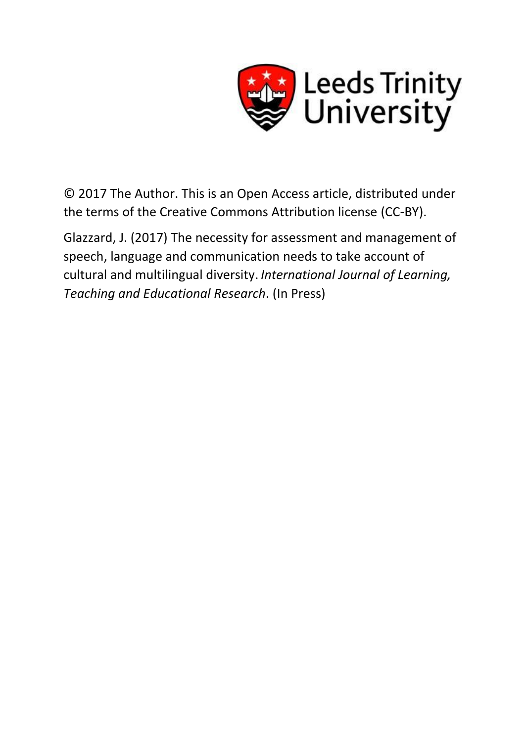

© 2017 The Author. This is an Open Access article, distributed under the terms of the Creative Commons Attribution license (CC-BY).

Glazzard, J. (2017) The necessity for assessment and management of speech, language and communication needs to take account of cultural and multilingual diversity. *International Journal of Learning, Teaching and Educational Research*. (In Press)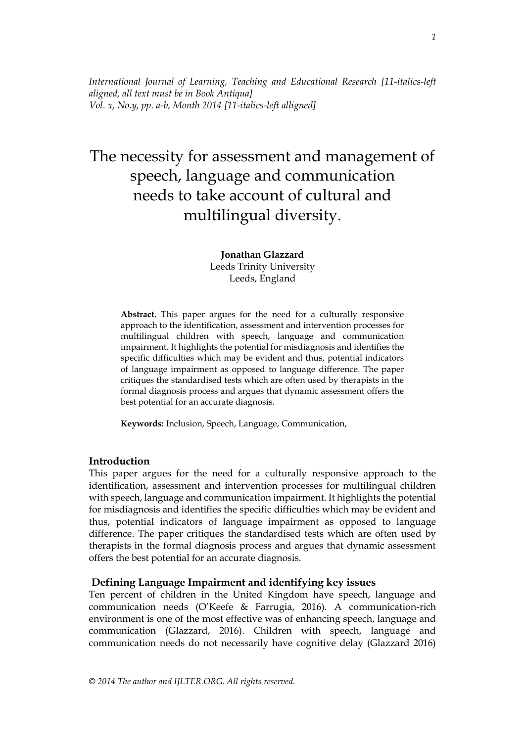*International Journal of Learning, Teaching and Educational Research [11-italics-left aligned, all text must be in Book Antiqua] Vol. x, No.y, pp. a-b, Month 2014 [11-italics-left alligned]*

# The necessity for assessment and management of speech, language and communication needs to take account of cultural and multilingual diversity.

**Jonathan Glazzard** Leeds Trinity University Leeds, England

**Abstract.** This paper argues for the need for a culturally responsive approach to the identification, assessment and intervention processes for multilingual children with speech, language and communication impairment. It highlights the potential for misdiagnosis and identifies the specific difficulties which may be evident and thus, potential indicators of language impairment as opposed to language difference. The paper critiques the standardised tests which are often used by therapists in the formal diagnosis process and argues that dynamic assessment offers the best potential for an accurate diagnosis.

**Keywords:** Inclusion, Speech, Language, Communication,

#### **Introduction**

This paper argues for the need for a culturally responsive approach to the identification, assessment and intervention processes for multilingual children with speech, language and communication impairment. It highlights the potential for misdiagnosis and identifies the specific difficulties which may be evident and thus, potential indicators of language impairment as opposed to language difference. The paper critiques the standardised tests which are often used by therapists in the formal diagnosis process and argues that dynamic assessment offers the best potential for an accurate diagnosis.

## **Defining Language Impairment and identifying key issues**

Ten percent of children in the United Kingdom have speech, language and communication needs (O'Keefe & Farrugia, 2016). A communication-rich environment is one of the most effective was of enhancing speech, language and communication (Glazzard, 2016). Children with speech, language and communication needs do not necessarily have cognitive delay (Glazzard 2016)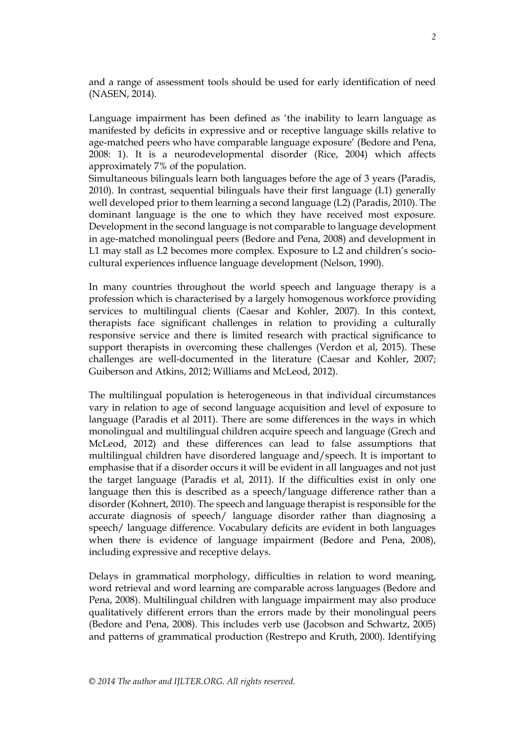and a range of assessment tools should be used for early identification of need (NASEN, 2014).

Language impairment has been defined as 'the inability to learn language as manifested by deficits in expressive and or receptive language skills relative to age-matched peers who have comparable language exposure' (Bedore and Pena, 2008: 1). It is a neurodevelopmental disorder (Rice, 2004) which affects approximately 7% of the population.

Simultaneous bilinguals learn both languages before the age of 3 years (Paradis, 2010). In contrast, sequential bilinguals have their first language (L1) generally well developed prior to them learning a second language (L2) (Paradis, 2010). The dominant language is the one to which they have received most exposure. Development in the second language is not comparable to language development in age-matched monolingual peers (Bedore and Pena, 2008) and development in L1 may stall as L2 becomes more complex. Exposure to L2 and children's sociocultural experiences influence language development (Nelson, 1990).

In many countries throughout the world speech and language therapy is a profession which is characterised by a largely homogenous workforce providing services to multilingual clients (Caesar and Kohler, 2007). In this context, therapists face significant challenges in relation to providing a culturally responsive service and there is limited research with practical significance to support therapists in overcoming these challenges (Verdon et al, 2015). These challenges are well-documented in the literature (Caesar and Kohler, 2007; Guiberson and Atkins, 2012; Williams and McLeod, 2012).

The multilingual population is heterogeneous in that individual circumstances vary in relation to age of second language acquisition and level of exposure to language (Paradis et al 2011). There are some differences in the ways in which monolingual and multilingual children acquire speech and language (Grech and McLeod, 2012) and these differences can lead to false assumptions that multilingual children have disordered language and/speech. It is important to emphasise that if a disorder occurs it will be evident in all languages and not just the target language (Paradis et al, 2011). If the difficulties exist in only one language then this is described as a speech/language difference rather than a disorder (Kohnert, 2010). The speech and language therapist is responsible for the accurate diagnosis of speech/ language disorder rather than diagnosing a speech/ language difference. Vocabulary deficits are evident in both languages when there is evidence of language impairment (Bedore and Pena, 2008), including expressive and receptive delays.

Delays in grammatical morphology, difficulties in relation to word meaning, word retrieval and word learning are comparable across languages (Bedore and Pena, 2008). Multilingual children with language impairment may also produce qualitatively different errors than the errors made by their monolingual peers (Bedore and Pena, 2008). This includes verb use (Jacobson and Schwartz, 2005) and patterns of grammatical production (Restrepo and Kruth, 2000). Identifying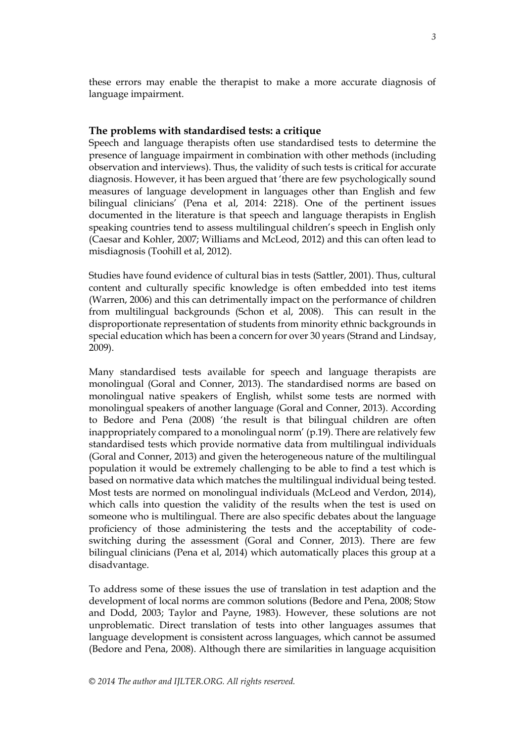these errors may enable the therapist to make a more accurate diagnosis of language impairment.

# **The problems with standardised tests: a critique**

Speech and language therapists often use standardised tests to determine the presence of language impairment in combination with other methods (including observation and interviews). Thus, the validity of such tests is critical for accurate diagnosis. However, it has been argued that 'there are few psychologically sound measures of language development in languages other than English and few bilingual clinicians' (Pena et al, 2014: 2218). One of the pertinent issues documented in the literature is that speech and language therapists in English speaking countries tend to assess multilingual children's speech in English only (Caesar and Kohler, 2007; Williams and McLeod, 2012) and this can often lead to misdiagnosis (Toohill et al, 2012).

Studies have found evidence of cultural bias in tests (Sattler, 2001). Thus, cultural content and culturally specific knowledge is often embedded into test items (Warren, 2006) and this can detrimentally impact on the performance of children from multilingual backgrounds (Schon et al, 2008). This can result in the disproportionate representation of students from minority ethnic backgrounds in special education which has been a concern for over 30 years (Strand and Lindsay, 2009).

Many standardised tests available for speech and language therapists are monolingual (Goral and Conner, 2013). The standardised norms are based on monolingual native speakers of English, whilst some tests are normed with monolingual speakers of another language (Goral and Conner, 2013). According to Bedore and Pena (2008) 'the result is that bilingual children are often inappropriately compared to a monolingual norm' (p.19). There are relatively few standardised tests which provide normative data from multilingual individuals (Goral and Conner, 2013) and given the heterogeneous nature of the multilingual population it would be extremely challenging to be able to find a test which is based on normative data which matches the multilingual individual being tested. Most tests are normed on monolingual individuals (McLeod and Verdon, 2014), which calls into question the validity of the results when the test is used on someone who is multilingual. There are also specific debates about the language proficiency of those administering the tests and the acceptability of codeswitching during the assessment (Goral and Conner, 2013). There are few bilingual clinicians (Pena et al, 2014) which automatically places this group at a disadvantage.

To address some of these issues the use of translation in test adaption and the development of local norms are common solutions (Bedore and Pena, 2008; Stow and Dodd, 2003; Taylor and Payne, 1983). However, these solutions are not unproblematic. Direct translation of tests into other languages assumes that language development is consistent across languages, which cannot be assumed (Bedore and Pena, 2008). Although there are similarities in language acquisition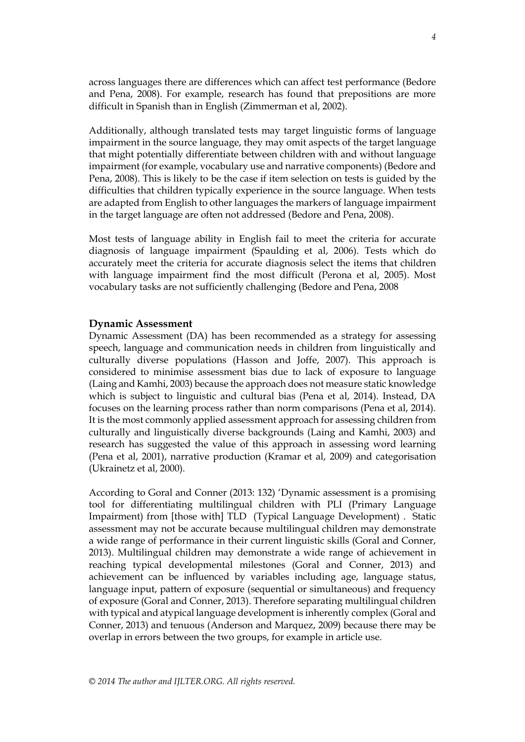across languages there are differences which can affect test performance (Bedore and Pena, 2008). For example, research has found that prepositions are more difficult in Spanish than in English (Zimmerman et al, 2002).

Additionally, although translated tests may target linguistic forms of language impairment in the source language, they may omit aspects of the target language that might potentially differentiate between children with and without language impairment (for example, vocabulary use and narrative components) (Bedore and Pena, 2008). This is likely to be the case if item selection on tests is guided by the difficulties that children typically experience in the source language. When tests are adapted from English to other languages the markers of language impairment in the target language are often not addressed (Bedore and Pena, 2008).

Most tests of language ability in English fail to meet the criteria for accurate diagnosis of language impairment (Spaulding et al, 2006). Tests which do accurately meet the criteria for accurate diagnosis select the items that children with language impairment find the most difficult (Perona et al, 2005). Most vocabulary tasks are not sufficiently challenging (Bedore and Pena, 2008

#### **Dynamic Assessment**

Dynamic Assessment (DA) has been recommended as a strategy for assessing speech, language and communication needs in children from linguistically and culturally diverse populations (Hasson and Joffe, 2007). This approach is considered to minimise assessment bias due to lack of exposure to language (Laing and Kamhi, 2003) because the approach does not measure static knowledge which is subject to linguistic and cultural bias (Pena et al, 2014). Instead, DA focuses on the learning process rather than norm comparisons (Pena et al, 2014). It is the most commonly applied assessment approach for assessing children from culturally and linguistically diverse backgrounds (Laing and Kamhi, 2003) and research has suggested the value of this approach in assessing word learning (Pena et al, 2001), narrative production (Kramar et al, 2009) and categorisation (Ukrainetz et al, 2000).

According to Goral and Conner (2013: 132) 'Dynamic assessment is a promising tool for differentiating multilingual children with PLI (Primary Language Impairment) from [those with] TLD (Typical Language Development) . Static assessment may not be accurate because multilingual children may demonstrate a wide range of performance in their current linguistic skills (Goral and Conner, 2013). Multilingual children may demonstrate a wide range of achievement in reaching typical developmental milestones (Goral and Conner, 2013) and achievement can be influenced by variables including age, language status, language input, pattern of exposure (sequential or simultaneous) and frequency of exposure (Goral and Conner, 2013). Therefore separating multilingual children with typical and atypical language development is inherently complex (Goral and Conner, 2013) and tenuous (Anderson and Marquez, 2009) because there may be overlap in errors between the two groups, for example in article use.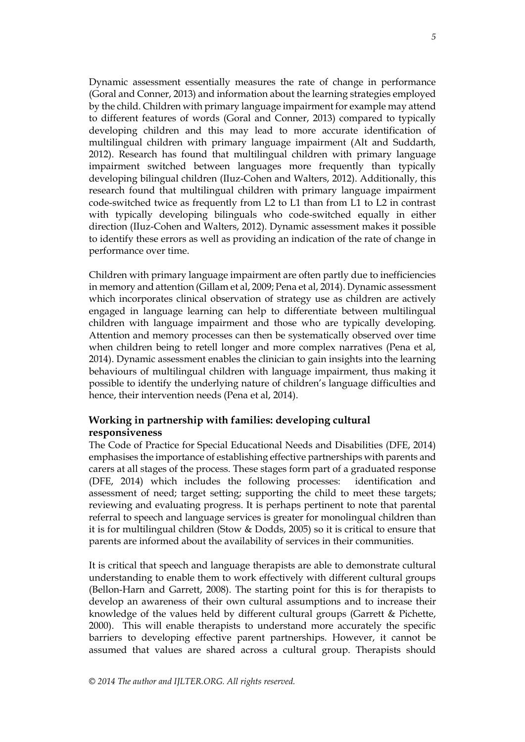Dynamic assessment essentially measures the rate of change in performance (Goral and Conner, 2013) and information about the learning strategies employed by the child. Children with primary language impairment for example may attend to different features of words (Goral and Conner, 2013) compared to typically developing children and this may lead to more accurate identification of multilingual children with primary language impairment (Alt and Suddarth, 2012). Research has found that multilingual children with primary language impairment switched between languages more frequently than typically developing bilingual children (IIuz-Cohen and Walters, 2012). Additionally, this research found that multilingual children with primary language impairment code-switched twice as frequently from L2 to L1 than from L1 to L2 in contrast with typically developing bilinguals who code-switched equally in either direction (IIuz-Cohen and Walters, 2012). Dynamic assessment makes it possible to identify these errors as well as providing an indication of the rate of change in performance over time.

Children with primary language impairment are often partly due to inefficiencies in memory and attention (Gillam et al, 2009; Pena et al, 2014). Dynamic assessment which incorporates clinical observation of strategy use as children are actively engaged in language learning can help to differentiate between multilingual children with language impairment and those who are typically developing. Attention and memory processes can then be systematically observed over time when children being to retell longer and more complex narratives (Pena et al, 2014). Dynamic assessment enables the clinician to gain insights into the learning behaviours of multilingual children with language impairment, thus making it possible to identify the underlying nature of children's language difficulties and hence, their intervention needs (Pena et al, 2014).

# **Working in partnership with families: developing cultural responsiveness**

The Code of Practice for Special Educational Needs and Disabilities (DFE, 2014) emphasises the importance of establishing effective partnerships with parents and carers at all stages of the process. These stages form part of a graduated response (DFE, 2014) which includes the following processes: identification and assessment of need; target setting; supporting the child to meet these targets; reviewing and evaluating progress. It is perhaps pertinent to note that parental referral to speech and language services is greater for monolingual children than it is for multilingual children (Stow & Dodds, 2005) so it is critical to ensure that parents are informed about the availability of services in their communities.

It is critical that speech and language therapists are able to demonstrate cultural understanding to enable them to work effectively with different cultural groups (Bellon-Harn and Garrett, 2008). The starting point for this is for therapists to develop an awareness of their own cultural assumptions and to increase their knowledge of the values held by different cultural groups (Garrett & Pichette, 2000). This will enable therapists to understand more accurately the specific barriers to developing effective parent partnerships. However, it cannot be assumed that values are shared across a cultural group. Therapists should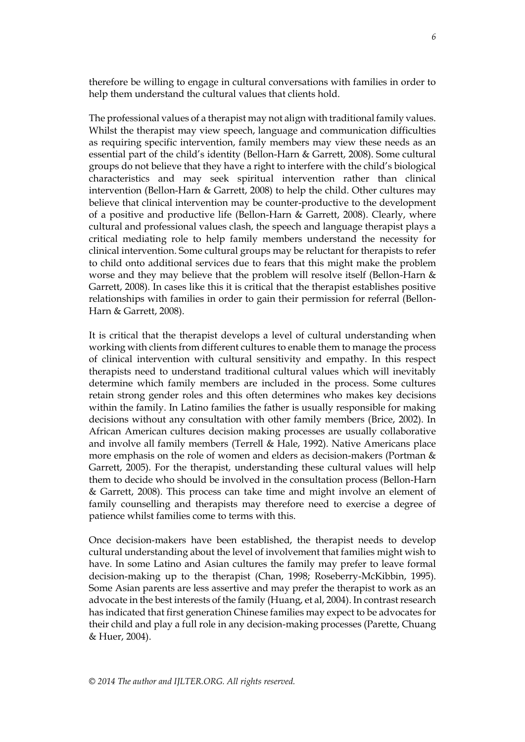therefore be willing to engage in cultural conversations with families in order to help them understand the cultural values that clients hold.

The professional values of a therapist may not align with traditional family values. Whilst the therapist may view speech, language and communication difficulties as requiring specific intervention, family members may view these needs as an essential part of the child's identity (Bellon-Harn & Garrett, 2008). Some cultural groups do not believe that they have a right to interfere with the child's biological characteristics and may seek spiritual intervention rather than clinical intervention (Bellon-Harn & Garrett, 2008) to help the child. Other cultures may believe that clinical intervention may be counter-productive to the development of a positive and productive life (Bellon-Harn & Garrett, 2008). Clearly, where cultural and professional values clash, the speech and language therapist plays a critical mediating role to help family members understand the necessity for clinical intervention. Some cultural groups may be reluctant for therapists to refer to child onto additional services due to fears that this might make the problem worse and they may believe that the problem will resolve itself (Bellon-Harn & Garrett, 2008). In cases like this it is critical that the therapist establishes positive relationships with families in order to gain their permission for referral (Bellon-Harn & Garrett, 2008).

It is critical that the therapist develops a level of cultural understanding when working with clients from different cultures to enable them to manage the process of clinical intervention with cultural sensitivity and empathy. In this respect therapists need to understand traditional cultural values which will inevitably determine which family members are included in the process. Some cultures retain strong gender roles and this often determines who makes key decisions within the family. In Latino families the father is usually responsible for making decisions without any consultation with other family members (Brice, 2002). In African American cultures decision making processes are usually collaborative and involve all family members (Terrell & Hale, 1992). Native Americans place more emphasis on the role of women and elders as decision-makers (Portman & Garrett, 2005). For the therapist, understanding these cultural values will help them to decide who should be involved in the consultation process (Bellon-Harn & Garrett, 2008). This process can take time and might involve an element of family counselling and therapists may therefore need to exercise a degree of patience whilst families come to terms with this.

Once decision-makers have been established, the therapist needs to develop cultural understanding about the level of involvement that families might wish to have. In some Latino and Asian cultures the family may prefer to leave formal decision-making up to the therapist (Chan, 1998; Roseberry-McKibbin, 1995). Some Asian parents are less assertive and may prefer the therapist to work as an advocate in the best interests of the family (Huang, et al, 2004). In contrast research has indicated that first generation Chinese families may expect to be advocates for their child and play a full role in any decision-making processes (Parette, Chuang & Huer, 2004).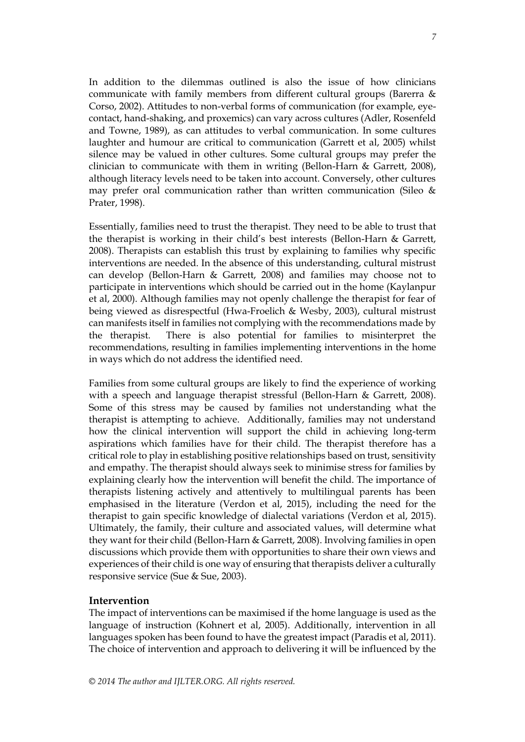In addition to the dilemmas outlined is also the issue of how clinicians communicate with family members from different cultural groups (Barerra & Corso, 2002). Attitudes to non-verbal forms of communication (for example, eyecontact, hand-shaking, and proxemics) can vary across cultures (Adler, Rosenfeld and Towne, 1989), as can attitudes to verbal communication. In some cultures laughter and humour are critical to communication (Garrett et al, 2005) whilst silence may be valued in other cultures. Some cultural groups may prefer the clinician to communicate with them in writing (Bellon-Harn & Garrett, 2008), although literacy levels need to be taken into account. Conversely, other cultures may prefer oral communication rather than written communication (Sileo  $\&$ Prater, 1998).

Essentially, families need to trust the therapist. They need to be able to trust that the therapist is working in their child's best interests (Bellon-Harn & Garrett, 2008). Therapists can establish this trust by explaining to families why specific interventions are needed. In the absence of this understanding, cultural mistrust can develop (Bellon-Harn & Garrett, 2008) and families may choose not to participate in interventions which should be carried out in the home (Kaylanpur et al, 2000). Although families may not openly challenge the therapist for fear of being viewed as disrespectful (Hwa-Froelich & Wesby, 2003), cultural mistrust can manifests itself in families not complying with the recommendations made by the therapist. There is also potential for families to misinterpret the recommendations, resulting in families implementing interventions in the home in ways which do not address the identified need.

Families from some cultural groups are likely to find the experience of working with a speech and language therapist stressful (Bellon-Harn & Garrett, 2008). Some of this stress may be caused by families not understanding what the therapist is attempting to achieve. Additionally, families may not understand how the clinical intervention will support the child in achieving long-term aspirations which families have for their child. The therapist therefore has a critical role to play in establishing positive relationships based on trust, sensitivity and empathy. The therapist should always seek to minimise stress for families by explaining clearly how the intervention will benefit the child. The importance of therapists listening actively and attentively to multilingual parents has been emphasised in the literature (Verdon et al, 2015), including the need for the therapist to gain specific knowledge of dialectal variations (Verdon et al, 2015). Ultimately, the family, their culture and associated values, will determine what they want for their child (Bellon-Harn & Garrett, 2008). Involving families in open discussions which provide them with opportunities to share their own views and experiences of their child is one way of ensuring that therapists deliver a culturally responsive service (Sue & Sue, 2003).

## **Intervention**

The impact of interventions can be maximised if the home language is used as the language of instruction (Kohnert et al, 2005). Additionally, intervention in all languages spoken has been found to have the greatest impact (Paradis et al, 2011). The choice of intervention and approach to delivering it will be influenced by the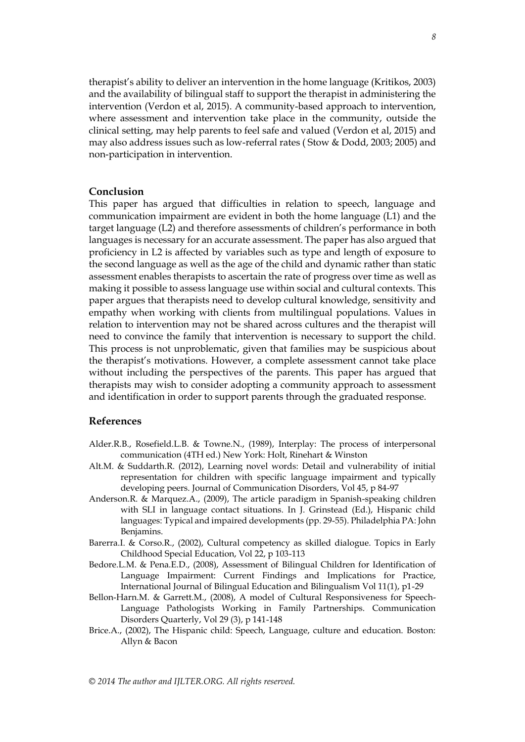therapist's ability to deliver an intervention in the home language (Kritikos, 2003) and the availability of bilingual staff to support the therapist in administering the intervention (Verdon et al, 2015). A community-based approach to intervention, where assessment and intervention take place in the community, outside the clinical setting, may help parents to feel safe and valued (Verdon et al, 2015) and may also address issues such as low-referral rates ( Stow & Dodd, 2003; 2005) and non-participation in intervention.

#### **Conclusion**

This paper has argued that difficulties in relation to speech, language and communication impairment are evident in both the home language (L1) and the target language (L2) and therefore assessments of children's performance in both languages is necessary for an accurate assessment. The paper has also argued that proficiency in L2 is affected by variables such as type and length of exposure to the second language as well as the age of the child and dynamic rather than static assessment enables therapists to ascertain the rate of progress over time as well as making it possible to assess language use within social and cultural contexts. This paper argues that therapists need to develop cultural knowledge, sensitivity and empathy when working with clients from multilingual populations. Values in relation to intervention may not be shared across cultures and the therapist will need to convince the family that intervention is necessary to support the child. This process is not unproblematic, given that families may be suspicious about the therapist's motivations. However, a complete assessment cannot take place without including the perspectives of the parents. This paper has argued that therapists may wish to consider adopting a community approach to assessment and identification in order to support parents through the graduated response.

# **References**

- Alder.R.B., Rosefield.L.B. & Towne.N., (1989), Interplay: The process of interpersonal communication (4TH ed.) New York: Holt, Rinehart & Winston
- Alt.M. & Suddarth.R. (2012), Learning novel words: Detail and vulnerability of initial representation for children with specific language impairment and typically developing peers. Journal of Communication Disorders, Vol 45, p 84-97
- Anderson.R. & Marquez.A., (2009), The article paradigm in Spanish-speaking children with SLI in language contact situations. In J. Grinstead (Ed.), Hispanic child languages: Typical and impaired developments (pp. 29-55). Philadelphia PA: John Benjamins.
- Barerra.I. & Corso.R., (2002), Cultural competency as skilled dialogue. Topics in Early Childhood Special Education, Vol 22, p 103-113
- Bedore.L.M. & Pena.E.D., (2008), Assessment of Bilingual Children for Identification of Language Impairment: Current Findings and Implications for Practice, International Journal of Bilingual Education and Bilingualism Vol 11(1), p1-29
- Bellon-Harn.M. & Garrett.M., (2008), A model of Cultural Responsiveness for Speech-Language Pathologists Working in Family Partnerships. Communication Disorders Quarterly, Vol 29 (3), p 141-148
- Brice.A., (2002), The Hispanic child: Speech, Language, culture and education. Boston: Allyn & Bacon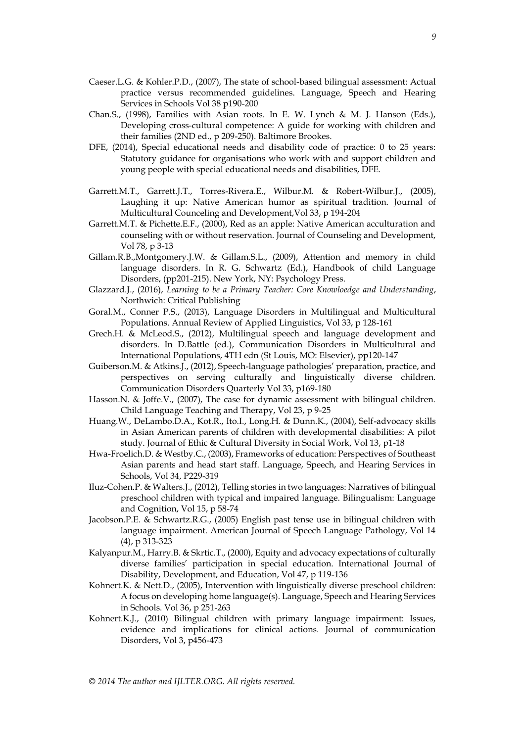- Caeser.L.G. & Kohler.P.D., (2007), The state of school-based bilingual assessment: Actual practice versus recommended guidelines. Language, Speech and Hearing Services in Schools Vol 38 p190-200
- Chan.S., (1998), Families with Asian roots. In E. W. Lynch & M. J. Hanson (Eds.), Developing cross-cultural competence: A guide for working with children and their families (2ND ed., p 209-250). Baltimore Brookes.
- DFE, (2014), Special educational needs and disability code of practice: 0 to 25 years: Statutory guidance for organisations who work with and support children and young people with special educational needs and disabilities, DFE.
- Garrett.M.T., Garrett.J.T., Torres-Rivera.E., Wilbur.M. & Robert-Wilbur.J., (2005), Laughing it up: Native American humor as spiritual tradition. Journal of Multicultural Counceling and Development,Vol 33, p 194-204
- Garrett.M.T. & Pichette.E.F., (2000), Red as an apple: Native American acculturation and counseling with or without reservation. Journal of Counseling and Development, Vol 78, p 3-13
- Gillam.R.B.,Montgomery.J.W. & Gillam.S.L., (2009), Attention and memory in child language disorders. In R. G. Schwartz (Ed.), Handbook of child Language Disorders, (pp201-215). New York, NY: Psychology Press.
- Glazzard.J., (2016), *Learning to be a Primary Teacher: Core Knowloedge and Understanding*, Northwich: Critical Publishing
- Goral.M., Conner P.S., (2013), Language Disorders in Multilingual and Multicultural Populations. Annual Review of Applied Linguistics, Vol 33, p 128-161
- Grech.H. & McLeod.S., (2012), Multilingual speech and language development and disorders. In D.Battle (ed.), Communication Disorders in Multicultural and International Populations, 4TH edn (St Louis, MO: Elsevier), pp120-147
- Guiberson.M. & Atkins.J., (2012), Speech-language pathologies' preparation, practice, and perspectives on serving culturally and linguistically diverse children. Communication Disorders Quarterly Vol 33, p169-180
- Hasson.N. & Joffe.V., (2007), The case for dynamic assessment with bilingual children. Child Language Teaching and Therapy, Vol 23, p 9-25
- Huang.W., DeLambo.D.A., Kot.R., Ito.I., Long.H. & Dunn.K., (2004), Self-advocacy skills in Asian American parents of children with developmental disabilities: A pilot study. Journal of Ethic & Cultural Diversity in Social Work, Vol 13, p1-18
- Hwa-Froelich.D. & Westby.C., (2003), Frameworks of education: Perspectives of Southeast Asian parents and head start staff. Language, Speech, and Hearing Services in Schools, Vol 34, P229-319
- Iluz-Cohen.P. & Walters.J., (2012), Telling stories in two languages: Narratives of bilingual preschool children with typical and impaired language. Bilingualism: Language and Cognition, Vol 15, p 58-74
- Jacobson.P.E. & Schwartz.R.G., (2005) English past tense use in bilingual children with language impairment. American Journal of Speech Language Pathology, Vol 14 (4), p 313-323
- Kalyanpur.M., Harry.B. & Skrtic.T., (2000), Equity and advocacy expectations of culturally diverse families' participation in special education. International Journal of Disability, Development, and Education, Vol 47, p 119-136
- Kohnert.K. & Nett.D., (2005), Intervention with linguistically diverse preschool children: A focus on developing home language(s). Language, Speech and Hearing Services in Schools. Vol 36, p 251-263
- Kohnert.K.J., (2010) Bilingual children with primary language impairment: Issues, evidence and implications for clinical actions. Journal of communication Disorders, Vol 3, p456-473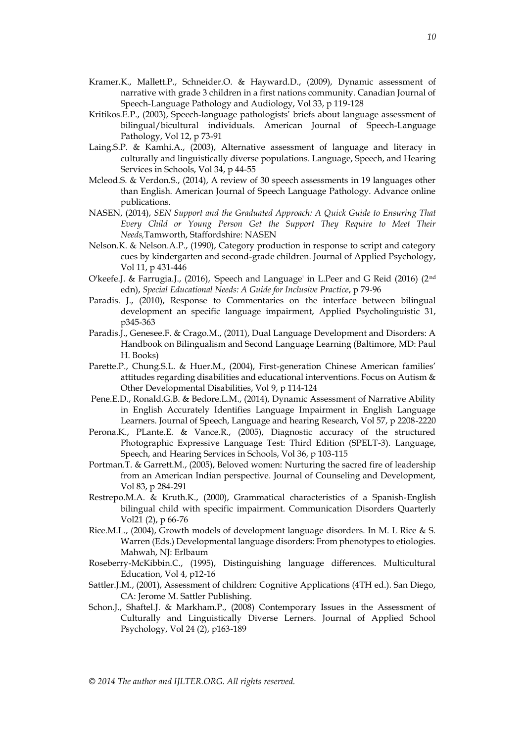- Kramer.K., Mallett.P., Schneider.O. & Hayward.D., (2009), Dynamic assessment of narrative with grade 3 children in a first nations community. Canadian Journal of Speech-Language Pathology and Audiology, Vol 33, p 119-128
- Kritikos.E.P., (2003), Speech-language pathologists' briefs about language assessment of bilingual/bicultural individuals. American Journal of Speech-Language Pathology, Vol 12, p 73-91
- Laing.S.P. & Kamhi.A., (2003), Alternative assessment of language and literacy in culturally and linguistically diverse populations. Language, Speech, and Hearing Services in Schools, Vol 34, p 44-55
- Mcleod.S. & Verdon.S., (2014), A review of 30 speech assessments in 19 languages other than English. American Journal of Speech Language Pathology. Advance online publications.
- NASEN, (2014), *SEN Support and the Graduated Approach: A Quick Guide to Ensuring That Every Child or Young Person Get the Support They Require to Meet Their Needs,*Tamworth, Staffordshire: NASEN
- Nelson.K. & Nelson.A.P., (1990), Category production in response to script and category cues by kindergarten and second-grade children. Journal of Applied Psychology, Vol 11, p 431-446
- O'keefe.J. & Farrugia.J., (2016), 'Speech and Language' in L.Peer and G Reid (2016) (2nd edn), *Special Educational Needs: A Guide for Inclusive Practice*, p 79-96
- Paradis. J., (2010), Response to Commentaries on the interface between bilingual development an specific language impairment, Applied Psycholinguistic 31, p345-363
- Paradis.J., Genesee.F. & Crago.M., (2011), Dual Language Development and Disorders: A Handbook on Bilingualism and Second Language Learning (Baltimore, MD: Paul H. Books)
- Parette.P., Chung.S.L. & Huer.M., (2004), First-generation Chinese American families' attitudes regarding disabilities and educational interventions. Focus on Autism & Other Developmental Disabilities, Vol 9, p 114-124
- Pene.E.D., Ronald.G.B. & Bedore.L.M., (2014), Dynamic Assessment of Narrative Ability in English Accurately Identifies Language Impairment in English Language Learners. Journal of Speech, Language and hearing Research, Vol 57, p 2208-2220
- Perona.K., PLante.E. & Vance.R., (2005), Diagnostic accuracy of the structured Photographic Expressive Language Test: Third Edition (SPELT-3). Language, Speech, and Hearing Services in Schools, Vol 36, p 103-115
- Portman.T. & Garrett.M., (2005), Beloved women: Nurturing the sacred fire of leadership from an American Indian perspective. Journal of Counseling and Development, Vol 83, p 284-291
- Restrepo.M.A. & Kruth.K., (2000), Grammatical characteristics of a Spanish-English bilingual child with specific impairment. Communication Disorders Quarterly Vol21 (2), p 66-76
- Rice.M.L., (2004), Growth models of development language disorders. In M. L Rice & S. Warren (Eds.) Developmental language disorders: From phenotypes to etiologies. Mahwah, NJ: Erlbaum
- Roseberry-McKibbin.C., (1995), Distinguishing language differences. Multicultural Education, Vol 4, p12-16
- Sattler.J.M., (2001), Assessment of children: Cognitive Applications (4TH ed.). San Diego, CA: Jerome M. Sattler Publishing.
- Schon.J., Shaftel.J. & Markham.P., (2008) Contemporary Issues in the Assessment of Culturally and Linguistically Diverse Lerners. Journal of Applied School Psychology, Vol 24 (2), p163-189

*© 2014 The author and IJLTER.ORG. All rights reserved.*